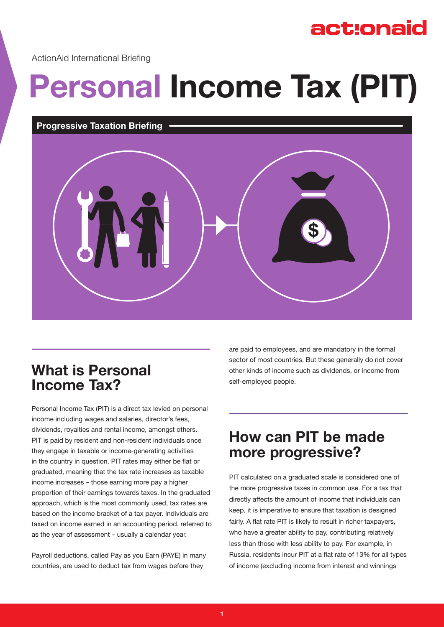# act:onaid

ActionAid International Briefing

# **Personal Income Tax (PIT)**

#### **Progressive Taxation Briefing**



## **What is Personal Income Tax?**

Personal Income Tax (PIT) is a direct tax levied on personal income including wages and salaries, director's fees, dividends, royalties and rental income, amongst others. PIT is paid by resident and non-resident individuals once they engage in taxable or income-generating activities in the country in question. PIT rates may either be flat or graduated, meaning that the tax rate increases as taxable income increases – those earning more pay a higher proportion of their earnings towards taxes. In the graduated approach, which is the most commonly used, tax rates are based on the income bracket of a tax payer. Individuals are taxed on income earned in an accounting period, referred to as the year of assessment – usually a calendar year.

Payroll deductions, called Pay as you Earn (PAYE) in many countries, are used to deduct tax from wages before they

are paid to employees, and are mandatory in the formal sector of most countries. But these generally do not cover other kinds of income such as dividends, or income from self-employed people.

## **How can PIT be made more progressive?**

PIT calculated on a graduated scale is considered one of the more progressive taxes in common use. For a tax that directly affects the amount of income that individuals can keep, it is imperative to ensure that taxation is designed fairly. A flat rate PIT is likely to result in richer taxpayers, who have a greater ability to pay, contributing relatively less than those with less ability to pay. For example, in Russia, residents incur PIT at a flat rate of 13% for all types of income (excluding income from interest and winnings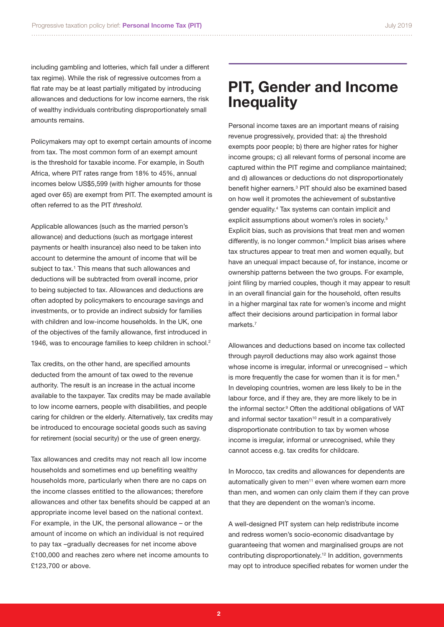including gambling and lotteries, which fall under a different tax regime). While the risk of regressive outcomes from a flat rate may be at least partially mitigated by introducing allowances and deductions for low income earners, the risk of wealthy individuals contributing disproportionately small amounts remains.

Policymakers may opt to exempt certain amounts of income from tax. The most common form of an exempt amount is the threshold for taxable income. For example, in South Africa, where PIT rates range from 18% to 45%, annual incomes below US\$5,599 (with higher amounts for those aged over 65) are exempt from PIT. The exempted amount is often referred to as the PIT *threshold.* 

Applicable allowances (such as the married person's allowance) and deductions (such as mortgage interest payments or health insurance) also need to be taken into account to determine the amount of income that will be subject to tax.<sup>1</sup> This means that such allowances and deductions will be subtracted from overall income, prior to being subjected to tax. Allowances and deductions are often adopted by policymakers to encourage savings and investments, or to provide an indirect subsidy for families with children and low-income households. In the UK, one of the objectives of the family allowance, first introduced in 1946, was to encourage families to keep children in school.<sup>2</sup>

Tax credits, on the other hand, are specified amounts deducted from the amount of tax owed to the revenue authority. The result is an increase in the actual income available to the taxpayer. Tax credits may be made available to low income earners, people with disabilities, and people caring for children or the elderly. Alternatively, tax credits may be introduced to encourage societal goods such as saving for retirement (social security) or the use of green energy.

Tax allowances and credits may not reach all low income households and sometimes end up benefiting wealthy households more, particularly when there are no caps on the income classes entitled to the allowances; therefore allowances and other tax benefits should be capped at an appropriate income level based on the national context. For example, in the UK, the personal allowance – or the amount of income on which an individual is not required to pay tax –gradually decreases for net income above £100,000 and reaches zero where net income amounts to £123,700 or above.

### **PIT, Gender and Income Inequality**

Personal income taxes are an important means of raising revenue progressively, provided that: a) the threshold exempts poor people; b) there are higher rates for higher income groups; c) all relevant forms of personal income are captured within the PIT regime and compliance maintained; and d) allowances or deductions do not disproportionately benefit higher earners.3 PIT should also be examined based on how well it promotes the achievement of substantive gender equality.<sup>4</sup> Tax systems can contain implicit and explicit assumptions about women's roles in society.<sup>5</sup> Explicit bias, such as provisions that treat men and women differently, is no longer common.<sup>6</sup> Implicit bias arises where tax structures appear to treat men and women equally, but have an unequal impact because of, for instance, income or ownership patterns between the two groups. For example, joint filing by married couples, though it may appear to result in an overall financial gain for the household, often results in a higher marginal tax rate for women's income and might affect their decisions around participation in formal labor markets<sup>7</sup>

Allowances and deductions based on income tax collected through payroll deductions may also work against those whose income is irregular, informal or unrecognised – which is more frequently the case for women than it is for men.<sup>8</sup> In developing countries, women are less likely to be in the labour force, and if they are, they are more likely to be in the informal sector.<sup>9</sup> Often the additional obligations of VAT and informal sector taxation<sup>10</sup> result in a comparatively disproportionate contribution to tax by women whose income is irregular, informal or unrecognised, while they cannot access e.g. tax credits for childcare.

In Morocco, tax credits and allowances for dependents are automatically given to men<sup>11</sup> even where women earn more than men, and women can only claim them if they can prove that they are dependent on the woman's income.

A well-designed PIT system can help redistribute income and redress women's socio-economic disadvantage by guaranteeing that women and marginalised groups are not contributing disproportionately.<sup>12</sup> In addition, governments may opt to introduce specified rebates for women under the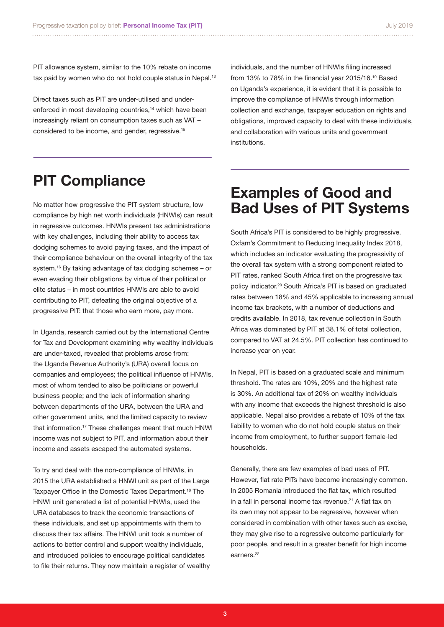PIT allowance system, similar to the 10% rebate on income tax paid by women who do not hold couple status in Nepal.<sup>13</sup>

Direct taxes such as PIT are under-utilised and underenforced in most developing countries,<sup>14</sup> which have been increasingly reliant on consumption taxes such as VAT – considered to be income, and gender, regressive.<sup>15</sup>

individuals, and the number of HNWIs filing increased from 13% to 78% in the financial year 2015/16.19 Based on Uganda's experience, it is evident that it is possible to improve the compliance of HNWIs through information collection and exchange, taxpayer education on rights and obligations, improved capacity to deal with these individuals, and collaboration with various units and government institutions.

# **PIT Compliance**

No matter how progressive the PIT system structure, low compliance by high net worth individuals (HNWIs) can result in regressive outcomes. HNWIs present tax administrations with key challenges, including their ability to access tax dodging schemes to avoid paying taxes, and the impact of their compliance behaviour on the overall integrity of the tax system.<sup>16</sup> By taking advantage of tax dodging schemes – or even evading their obligations by virtue of their political or elite status – in most countries HNWIs are able to avoid contributing to PIT, defeating the original objective of a progressive PIT: that those who earn more, pay more.

In Uganda, research carried out by the International Centre for Tax and Development examining why wealthy individuals are under-taxed, revealed that problems arose from: the Uganda Revenue Authority's (URA) overall focus on companies and employees; the political influence of HNWIs, most of whom tended to also be politicians or powerful business people; and the lack of information sharing between departments of the URA, between the URA and other government units, and the limited capacity to review that information.<sup>17</sup> These challenges meant that much HNWI income was not subject to PIT, and information about their income and assets escaped the automated systems.

To try and deal with the non-compliance of HNWIs, in 2015 the URA established a HNWI unit as part of the Large Taxpayer Office in the Domestic Taxes Department.18 The HNWI unit generated a list of potential HNWIs, used the URA databases to track the economic transactions of these individuals, and set up appointments with them to discuss their tax affairs. The HNWI unit took a number of actions to better control and support wealthy individuals, and introduced policies to encourage political candidates to file their returns. They now maintain a register of wealthy

## **Examples of Good and Bad Uses of PIT Systems**

South Africa's PIT is considered to be highly progressive. Oxfam's Commitment to Reducing Inequality Index 2018, which includes an indicator evaluating the progressivity of the overall tax system with a strong component related to PIT rates, ranked South Africa first on the progressive tax policy indicator.<sup>20</sup> South Africa's PIT is based on graduated rates between 18% and 45% applicable to increasing annual income tax brackets, with a number of deductions and credits available. In 2018, tax revenue collection in South Africa was dominated by PIT at 38.1% of total collection, compared to VAT at 24.5%. PIT collection has continued to increase year on year.

In Nepal, PIT is based on a graduated scale and minimum threshold. The rates are 10%, 20% and the highest rate is 30%. An additional tax of 20% on wealthy individuals with any income that exceeds the highest threshold is also applicable. Nepal also provides a rebate of 10% of the tax liability to women who do not hold couple status on their income from employment, to further support female-led households.

Generally, there are few examples of bad uses of PIT. However, flat rate PITs have become increasingly common. In 2005 Romania introduced the flat tax, which resulted in a fall in personal income tax revenue.<sup>21</sup> A flat tax on its own may not appear to be regressive, however when considered in combination with other taxes such as excise, they may give rise to a regressive outcome particularly for poor people, and result in a greater benefit for high income earners.<sup>22</sup>